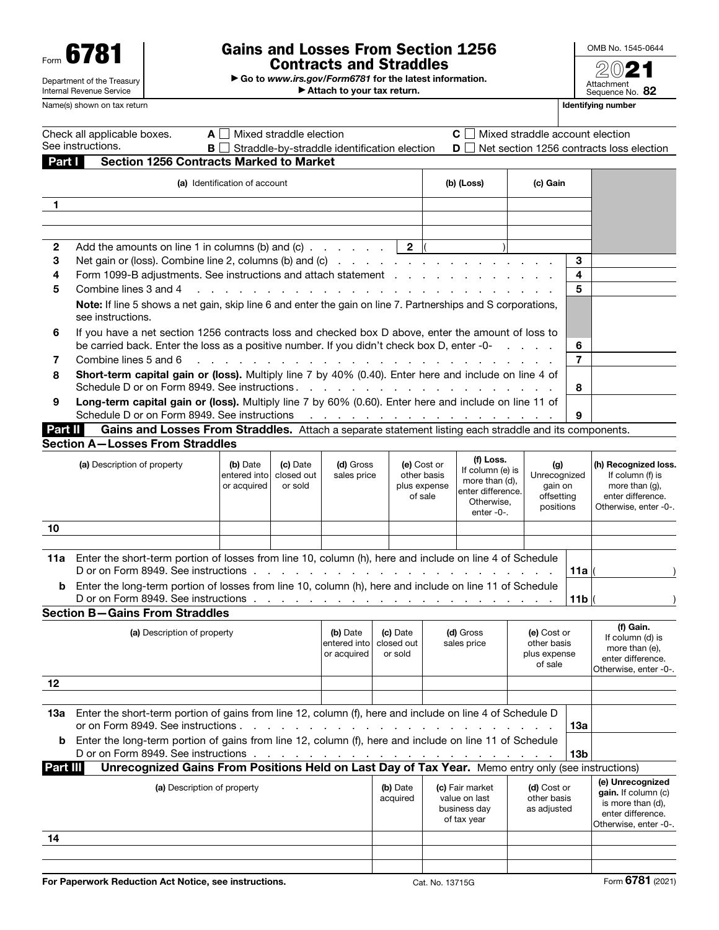| Form                       | U |  |  |  |  |
|----------------------------|---|--|--|--|--|
| Department of the Treasury |   |  |  |  |  |
| Internal Revenue Service   |   |  |  |  |  |

# Form  $\overline{\textbf{6781}}$   $\begin{array}{r} \text{Form} \\ \text{Gamma of the Treasury} \end{array}$   $\begin{array}{r} \text{Gains and Losses From Section 1256} \\ \text{Contracts and Straddles} \end{array}$ Contracts and Straddles

▶ Go to *www.irs.gov/Form6781* for the latest information. ▶ Attach to your tax return.



Name(s) shown on tax return **Identifying number** Identifying number

|              | Check all applicable boxes.<br>See instructions.<br>BII                                                                                                                                                                                                           | $A \perp$ Mixed straddle election                              |                        | Straddle-by-straddle identification election |                          |                            | $C \bigsqcup$ Mixed straddle account election |                         |     | <b>D</b> Net section 1256 contracts loss election |
|--------------|-------------------------------------------------------------------------------------------------------------------------------------------------------------------------------------------------------------------------------------------------------------------|----------------------------------------------------------------|------------------------|----------------------------------------------|--------------------------|----------------------------|-----------------------------------------------|-------------------------|-----|---------------------------------------------------|
| Part I       | <b>Section 1256 Contracts Marked to Market</b>                                                                                                                                                                                                                    |                                                                |                        |                                              |                          |                            |                                               |                         |     |                                                   |
|              | (a) Identification of account                                                                                                                                                                                                                                     |                                                                |                        |                                              |                          | (b) (Loss)                 |                                               | (c) Gain                |     |                                                   |
| $\mathbf{1}$ |                                                                                                                                                                                                                                                                   |                                                                |                        |                                              |                          |                            |                                               |                         |     |                                                   |
|              |                                                                                                                                                                                                                                                                   |                                                                |                        |                                              |                          |                            |                                               |                         |     |                                                   |
|              |                                                                                                                                                                                                                                                                   |                                                                |                        |                                              |                          |                            |                                               |                         |     |                                                   |
| 2            |                                                                                                                                                                                                                                                                   |                                                                |                        |                                              |                          |                            |                                               |                         |     |                                                   |
| 3            |                                                                                                                                                                                                                                                                   |                                                                |                        |                                              |                          |                            |                                               |                         | 3   |                                                   |
| 4            |                                                                                                                                                                                                                                                                   | Form 1099-B adjustments. See instructions and attach statement |                        |                                              |                          |                            |                                               | 4                       |     |                                                   |
|              | 5<br>Combine lines 3 and 4<br>and the company of the company of the company of the company of the company of the company of the company of the company of the company of the company of the company of the company of the company of the company of the comp<br>5 |                                                                |                        |                                              |                          |                            |                                               |                         |     |                                                   |
|              | Note: If line 5 shows a net gain, skip line 6 and enter the gain on line 7. Partnerships and S corporations,<br>see instructions.                                                                                                                                 |                                                                |                        |                                              |                          |                            |                                               |                         |     |                                                   |
| 6            | If you have a net section 1256 contracts loss and checked box D above, enter the amount of loss to<br>be carried back. Enter the loss as a positive number. If you didn't check box D, enter -0-<br>6                                                             |                                                                |                        |                                              |                          |                            |                                               |                         |     |                                                   |
| 7            | Combine lines 5 and 6                                                                                                                                                                                                                                             |                                                                |                        |                                              |                          |                            |                                               |                         | 7   |                                                   |
| 8            | Short-term capital gain or (loss). Multiply line 7 by 40% (0.40). Enter here and include on line 4 of                                                                                                                                                             |                                                                |                        |                                              |                          |                            |                                               |                         |     |                                                   |
|              |                                                                                                                                                                                                                                                                   |                                                                |                        |                                              |                          |                            |                                               |                         | 8   |                                                   |
| 9            | Long-term capital gain or (loss). Multiply line 7 by 60% (0.60). Enter here and include on line 11 of                                                                                                                                                             |                                                                |                        |                                              |                          |                            |                                               |                         |     |                                                   |
|              |                                                                                                                                                                                                                                                                   |                                                                |                        |                                              |                          |                            |                                               |                         | 9   |                                                   |
| Part II      | Gains and Losses From Straddles. Attach a separate statement listing each straddle and its components.                                                                                                                                                            |                                                                |                        |                                              |                          |                            |                                               |                         |     |                                                   |
|              | <b>Section A-Losses From Straddles</b>                                                                                                                                                                                                                            |                                                                |                        |                                              |                          |                            |                                               |                         |     |                                                   |
|              | (a) Description of property                                                                                                                                                                                                                                       | (b) Date<br>entered into                                       | (c) Date<br>closed out | (d) Gross<br>sales price                     |                          | (e) Cost or<br>other basis | (f) Loss.<br>If column (e) is                 | (g)<br>Unrecognized     |     | (h) Recognized loss.<br>If column (f) is          |
|              |                                                                                                                                                                                                                                                                   | or acquired                                                    | or sold                |                                              |                          | plus expense               | more than (d),<br>enter difference.           | gain on                 |     | more than (g),<br>enter difference.               |
|              |                                                                                                                                                                                                                                                                   |                                                                |                        |                                              |                          | of sale                    | Otherwise,                                    | offsetting<br>positions |     | Otherwise, enter -0-.                             |
|              |                                                                                                                                                                                                                                                                   |                                                                |                        |                                              |                          |                            | enter -0-.                                    |                         |     |                                                   |
| 10           |                                                                                                                                                                                                                                                                   |                                                                |                        |                                              |                          |                            |                                               |                         |     |                                                   |
|              |                                                                                                                                                                                                                                                                   |                                                                |                        |                                              |                          |                            |                                               |                         |     |                                                   |
|              | 11a Enter the short-term portion of losses from line 10, column (h), here and include on line 4 of Schedule<br>D or on Form 8949. See instructions reader and reader and reader and reader and reader to provide the property                                     |                                                                |                        |                                              |                          |                            |                                               |                         | 11a |                                                   |
| b            | Enter the long-term portion of losses from line 10, column (h), here and include on line 11 of Schedule                                                                                                                                                           |                                                                |                        |                                              |                          |                            |                                               |                         |     |                                                   |
|              |                                                                                                                                                                                                                                                                   |                                                                |                        |                                              |                          |                            |                                               |                         | 11b |                                                   |
|              | <b>Section B-Gains From Straddles</b>                                                                                                                                                                                                                             |                                                                |                        |                                              |                          |                            |                                               |                         |     |                                                   |
|              | (a) Description of property                                                                                                                                                                                                                                       |                                                                |                        |                                              | (c) Date                 |                            | (d) Gross                                     | (e) Cost or             |     | (f) Gain.                                         |
|              |                                                                                                                                                                                                                                                                   |                                                                |                        | (b) Date<br>entered into                     | closed out               |                            | sales price                                   | other basis             |     | If column (d) is<br>more than (e),                |
|              |                                                                                                                                                                                                                                                                   |                                                                |                        | or acquired                                  | or sold                  |                            |                                               | plus expense            |     | enter difference.                                 |
|              |                                                                                                                                                                                                                                                                   |                                                                |                        |                                              |                          |                            |                                               | of sale                 |     | Otherwise, enter -0-.                             |
| 12           |                                                                                                                                                                                                                                                                   |                                                                |                        |                                              |                          |                            |                                               |                         |     |                                                   |
|              |                                                                                                                                                                                                                                                                   |                                                                |                        |                                              |                          |                            |                                               |                         |     |                                                   |
| 13а          | Enter the short-term portion of gains from line 12, column (f), here and include on line 4 of Schedule D<br>or on Form 8949. See instructions.                                                                                                                    |                                                                |                        |                                              |                          |                            |                                               |                         | 13a |                                                   |
| b            | Enter the long-term portion of gains from line 12, column (f), here and include on line 11 of Schedule                                                                                                                                                            |                                                                |                        |                                              |                          |                            |                                               |                         |     |                                                   |
|              | D or on Form 8949. See instructions.                                                                                                                                                                                                                              |                                                                |                        |                                              | <b>Contract Contract</b> |                            |                                               |                         | 13b |                                                   |
| Part III     | Unrecognized Gains From Positions Held on Last Day of Tax Year. Memo entry only (see instructions)                                                                                                                                                                |                                                                |                        |                                              |                          |                            |                                               |                         |     |                                                   |
|              | (a) Description of property                                                                                                                                                                                                                                       |                                                                |                        |                                              | (b) Date                 |                            | (c) Fair market                               | (d) Cost or             |     | (e) Unrecognized                                  |
|              |                                                                                                                                                                                                                                                                   |                                                                |                        |                                              | acquired                 |                            | value on last                                 | other basis             |     | gain. If column (c)<br>is more than (d),          |
|              |                                                                                                                                                                                                                                                                   |                                                                |                        |                                              |                          |                            | business day<br>of tax year                   | as adjusted             |     | enter difference.                                 |
|              |                                                                                                                                                                                                                                                                   |                                                                |                        |                                              |                          |                            |                                               |                         |     | Otherwise, enter -0-.                             |
| 14           |                                                                                                                                                                                                                                                                   |                                                                |                        |                                              |                          |                            |                                               |                         |     |                                                   |
|              |                                                                                                                                                                                                                                                                   |                                                                |                        |                                              |                          |                            |                                               |                         |     |                                                   |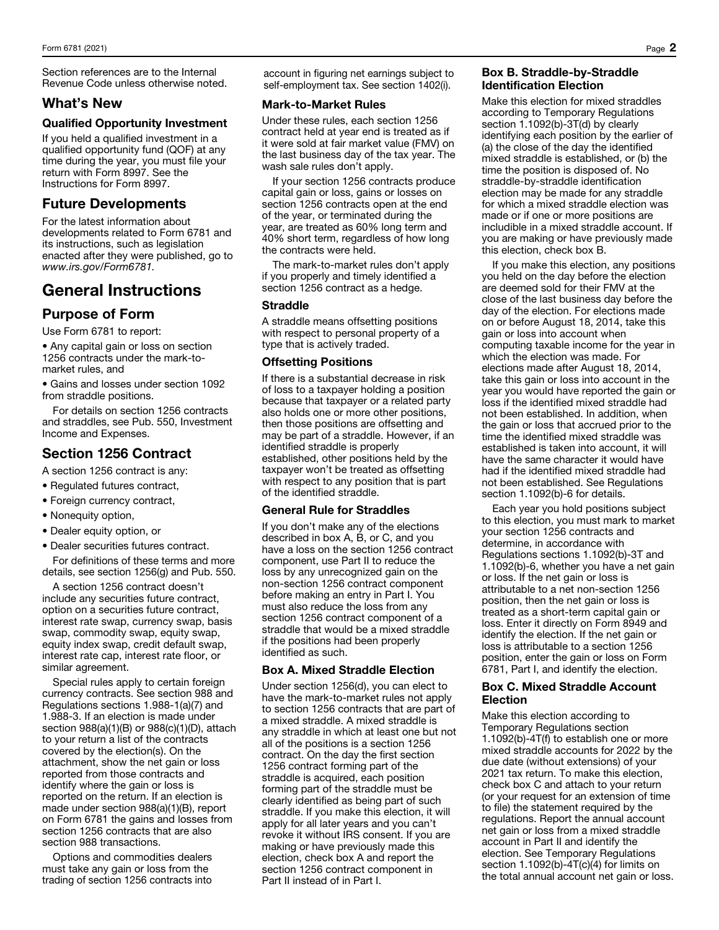Section references are to the Internal Revenue Code unless otherwise noted.

## What's New

#### Qualified Opportunity Investment

If you held a qualified investment in a qualified opportunity fund (QOF) at any time during the year, you must file your return with Form 8997. See the Instructions for Form 8997.

## Future Developments

For the latest information about developments related to Form 6781 and its instructions, such as legislation enacted after they were published, go to *www.irs.gov/Form6781.*

## General Instructions

## Purpose of Form

Use Form 6781 to report:

• Any capital gain or loss on section 1256 contracts under the mark-tomarket rules, and

• Gains and losses under section 1092 from straddle positions.

For details on section 1256 contracts and straddles, see Pub. 550, Investment Income and Expenses.

## Section 1256 Contract

A section 1256 contract is any:

- Regulated futures contract,
- Foreign currency contract,
- Nonequity option,
- Dealer equity option, or
- Dealer securities futures contract.

For definitions of these terms and more details, see section 1256(g) and Pub. 550.

A section 1256 contract doesn't include any securities future contract, option on a securities future contract, interest rate swap, currency swap, basis swap, commodity swap, equity swap, equity index swap, credit default swap, interest rate cap, interest rate floor, or similar agreement.

Special rules apply to certain foreign currency contracts. See section 988 and Regulations sections 1.988-1(a)(7) and 1.988-3. If an election is made under section 988(a)(1)(B) or 988(c)(1)(D), attach to your return a list of the contracts covered by the election(s). On the attachment, show the net gain or loss reported from those contracts and identify where the gain or loss is reported on the return. If an election is made under section 988(a)(1)(B), report on Form 6781 the gains and losses from section 1256 contracts that are also section 988 transactions.

Options and commodities dealers must take any gain or loss from the trading of section 1256 contracts into

account in figuring net earnings subject to self-employment tax. See section 1402(i).

### Mark-to-Market Rules

Under these rules, each section 1256 contract held at year end is treated as if it were sold at fair market value (FMV) on the last business day of the tax year. The wash sale rules don't apply.

If your section 1256 contracts produce capital gain or loss, gains or losses on section 1256 contracts open at the end of the year, or terminated during the year, are treated as 60% long term and 40% short term, regardless of how long the contracts were held.

The mark-to-market rules don't apply if you properly and timely identified a section 1256 contract as a hedge.

## Straddle

A straddle means offsetting positions with respect to personal property of a type that is actively traded.

## Offsetting Positions

If there is a substantial decrease in risk of loss to a taxpayer holding a position because that taxpayer or a related party also holds one or more other positions, then those positions are offsetting and may be part of a straddle. However, if an identified straddle is properly established, other positions held by the taxpayer won't be treated as offsetting with respect to any position that is part of the identified straddle.

## General Rule for Straddles

If you don't make any of the elections described in box A, B, or C, and you have a loss on the section 1256 contract component, use Part II to reduce the loss by any unrecognized gain on the non-section 1256 contract component before making an entry in Part I. You must also reduce the loss from any section 1256 contract component of a straddle that would be a mixed straddle if the positions had been properly identified as such.

## Box A. Mixed Straddle Election

Under section 1256(d), you can elect to have the mark-to-market rules not apply to section 1256 contracts that are part of a mixed straddle. A mixed straddle is any straddle in which at least one but not all of the positions is a section 1256 contract. On the day the first section 1256 contract forming part of the straddle is acquired, each position forming part of the straddle must be clearly identified as being part of such straddle. If you make this election, it will apply for all later years and you can't revoke it without IRS consent. If you are making or have previously made this election, check box A and report the section 1256 contract component in Part II instead of in Part I.

### Box B. Straddle-by-Straddle Identification Election

Make this election for mixed straddles according to Temporary Regulations section 1.1092(b)-3T(d) by clearly identifying each position by the earlier of (a) the close of the day the identified mixed straddle is established, or (b) the time the position is disposed of. No straddle-by-straddle identification election may be made for any straddle for which a mixed straddle election was made or if one or more positions are includible in a mixed straddle account. If you are making or have previously made this election, check box B.

If you make this election, any positions you held on the day before the election are deemed sold for their FMV at the close of the last business day before the day of the election. For elections made on or before August 18, 2014, take this gain or loss into account when computing taxable income for the year in which the election was made. For elections made after August 18, 2014, take this gain or loss into account in the year you would have reported the gain or loss if the identified mixed straddle had not been established. In addition, when the gain or loss that accrued prior to the time the identified mixed straddle was established is taken into account, it will have the same character it would have had if the identified mixed straddle had not been established. See Regulations section 1.1092(b)-6 for details.

Each year you hold positions subject to this election, you must mark to market your section 1256 contracts and determine, in accordance with Regulations sections 1.1092(b)-3T and 1.1092(b)-6, whether you have a net gain or loss. If the net gain or loss is attributable to a net non-section 1256 position, then the net gain or loss is treated as a short-term capital gain or loss. Enter it directly on Form 8949 and identify the election. If the net gain or loss is attributable to a section 1256 position, enter the gain or loss on Form 6781, Part I, and identify the election.

### Box C. Mixed Straddle Account Election

Make this election according to Temporary Regulations section 1.1092(b)-4T(f) to establish one or more mixed straddle accounts for 2022 by the due date (without extensions) of your 2021 tax return. To make this election, check box C and attach to your return (or your request for an extension of time to file) the statement required by the regulations. Report the annual account net gain or loss from a mixed straddle account in Part II and identify the election. See Temporary Regulations section 1.1092(b)-4T(c)(4) for limits on the total annual account net gain or loss.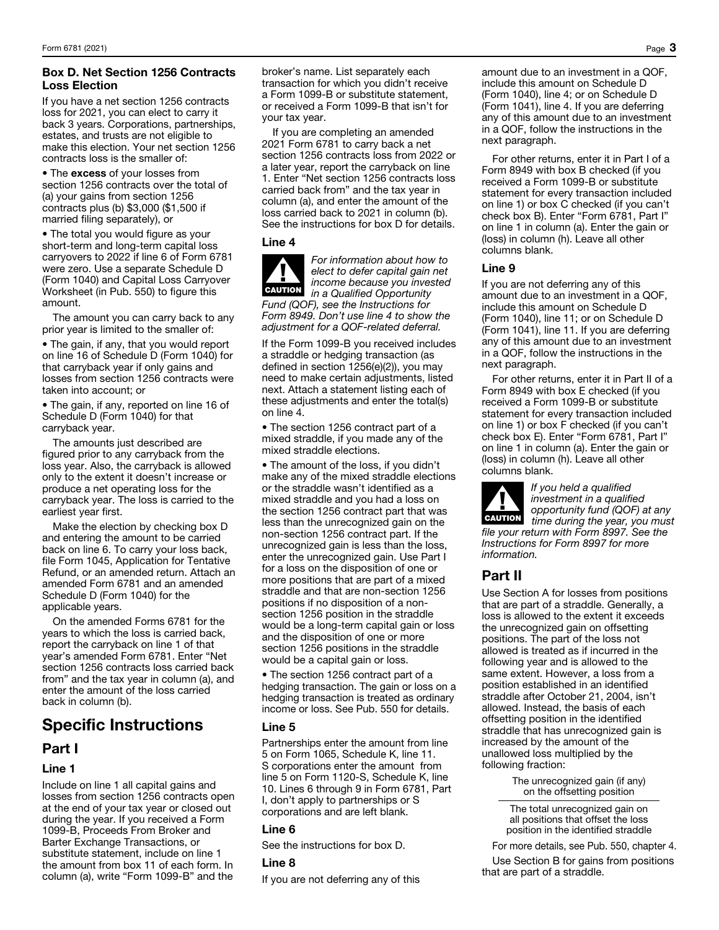## Box D. Net Section 1256 Contracts Loss Election

If you have a net section 1256 contracts loss for 2021, you can elect to carry it back 3 years. Corporations, partnerships, estates, and trusts are not eligible to make this election. Your net section 1256 contracts loss is the smaller of:

• The excess of your losses from section 1256 contracts over the total of (a) your gains from section 1256 contracts plus (b) \$3,000 (\$1,500 if married filing separately), or

• The total you would figure as your short-term and long-term capital loss carryovers to 2022 if line 6 of Form 6781 were zero. Use a separate Schedule D (Form 1040) and Capital Loss Carryover Worksheet (in Pub. 550) to figure this amount.

The amount you can carry back to any prior year is limited to the smaller of:

• The gain, if any, that you would report on line 16 of Schedule D (Form 1040) for that carryback year if only gains and losses from section 1256 contracts were taken into account; or

• The gain, if any, reported on line 16 of Schedule D (Form 1040) for that carryback year.

The amounts just described are figured prior to any carryback from the loss year. Also, the carryback is allowed only to the extent it doesn't increase or produce a net operating loss for the carryback year. The loss is carried to the earliest year first.

Make the election by checking box D and entering the amount to be carried back on line 6. To carry your loss back, file Form 1045, Application for Tentative Refund, or an amended return. Attach an amended Form 6781 and an amended Schedule D (Form 1040) for the applicable years.

On the amended Forms 6781 for the years to which the loss is carried back, report the carryback on line 1 of that year's amended Form 6781. Enter "Net section 1256 contracts loss carried back from" and the tax year in column (a), and enter the amount of the loss carried back in column (b).

# Specific Instructions

## Part I

## Line 1

Include on line 1 all capital gains and losses from section 1256 contracts open at the end of your tax year or closed out during the year. If you received a Form 1099-B, Proceeds From Broker and Barter Exchange Transactions, or substitute statement, include on line 1 the amount from box 11 of each form. In column (a), write "Form 1099-B" and the

broker's name. List separately each transaction for which you didn't receive a Form 1099-B or substitute statement, or received a Form 1099-B that isn't for your tax year.

If you are completing an amended 2021 Form 6781 to carry back a net section 1256 contracts loss from 2022 or a later year, report the carryback on line 1. Enter "Net section 1256 contracts loss carried back from" and the tax year in column (a), and enter the amount of the loss carried back to 2021 in column (b). See the instructions for box D for details.

## Line 4

▲! CAUTION *For information about how to elect to defer capital gain net income because you invested in a Qualified Opportunity Fund (QOF), see the Instructions for* 

*Form 8949. Don't use line 4 to show the adjustment for a QOF-related deferral.*

If the Form 1099-B you received includes a straddle or hedging transaction (as defined in section 1256(e)(2)), you may need to make certain adjustments, listed next. Attach a statement listing each of these adjustments and enter the total(s) on line 4.

• The section 1256 contract part of a mixed straddle, if you made any of the mixed straddle elections.

• The amount of the loss, if you didn't make any of the mixed straddle elections or the straddle wasn't identified as a mixed straddle and you had a loss on the section 1256 contract part that was less than the unrecognized gain on the non-section 1256 contract part. If the unrecognized gain is less than the loss, enter the unrecognized gain. Use Part I for a loss on the disposition of one or more positions that are part of a mixed straddle and that are non-section 1256 positions if no disposition of a nonsection 1256 position in the straddle would be a long-term capital gain or loss and the disposition of one or more section 1256 positions in the straddle would be a capital gain or loss.

• The section 1256 contract part of a hedging transaction. The gain or loss on a hedging transaction is treated as ordinary income or loss. See Pub. 550 for details.

## Line 5

Partnerships enter the amount from line 5 on Form 1065, Schedule K, line 11. S corporations enter the amount from line 5 on Form 1120-S, Schedule K, line 10. Lines 6 through 9 in Form 6781, Part I, don't apply to partnerships or S corporations and are left blank.

## Line 6

See the instructions for box D.

## Line 8

If you are not deferring any of this

amount due to an investment in a QOF, include this amount on Schedule D (Form 1040), line 4; or on Schedule D (Form 1041), line 4. If you are deferring any of this amount due to an investment in a QOF, follow the instructions in the next paragraph.

For other returns, enter it in Part I of a Form 8949 with box B checked (if you received a Form 1099-B or substitute statement for every transaction included on line 1) or box C checked (if you can't check box B). Enter "Form 6781, Part I" on line 1 in column (a). Enter the gain or (loss) in column (h). Leave all other columns blank.

## Line 9

If you are not deferring any of this amount due to an investment in a QOF, include this amount on Schedule D (Form 1040), line 11; or on Schedule D (Form 1041), line 11. If you are deferring any of this amount due to an investment in a QOF, follow the instructions in the next paragraph.

For other returns, enter it in Part II of a Form 8949 with box E checked (if you received a Form 1099-B or substitute statement for every transaction included on line 1) or box F checked (if you can't check box E). Enter "Form 6781, Part I" on line 1 in column (a). Enter the gain or (loss) in column (h). Leave all other columns blank.

*If you held a qualified investment in a qualified opportunity fund (QOF) at any time during the year, you must file your return with Form 8997. See the Instructions for Form 8997 for more information.*

## Part II

Use Section A for losses from positions that are part of a straddle. Generally, a loss is allowed to the extent it exceeds the unrecognized gain on offsetting positions. The part of the loss not allowed is treated as if incurred in the following year and is allowed to the same extent. However, a loss from a position established in an identified straddle after October 21, 2004, isn't allowed. Instead, the basis of each offsetting position in the identified straddle that has unrecognized gain is increased by the amount of the unallowed loss multiplied by the following fraction:

> The unrecognized gain (if any) on the offsetting position

The total unrecognized gain on all positions that offset the loss position in the identified straddle

For more details, see Pub. 550, chapter 4.

Use Section B for gains from positions that are part of a straddle.